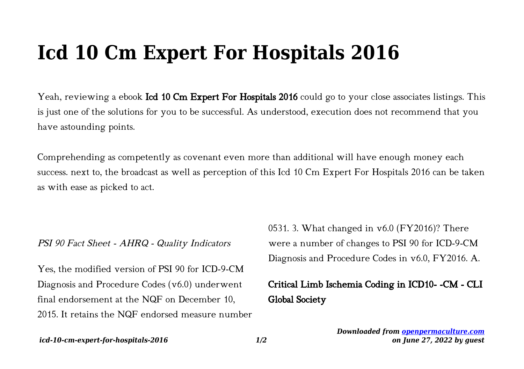## **Icd 10 Cm Expert For Hospitals 2016**

Yeah, reviewing a ebook **Icd 10 Cm Expert For Hospitals 2016** could go to your close associates listings. This is just one of the solutions for you to be successful. As understood, execution does not recommend that you have astounding points.

Comprehending as competently as covenant even more than additional will have enough money each success. next to, the broadcast as well as perception of this Icd 10 Cm Expert For Hospitals 2016 can be taken as with ease as picked to act.

## PSI 90 Fact Sheet - AHRQ - Quality Indicators

Yes, the modified version of PSI 90 for ICD-9-CM Diagnosis and Procedure Codes (v6.0) underwent final endorsement at the NQF on December 10, 2015. It retains the NQF endorsed measure number 0531. 3. What changed in v6.0 (FY2016)? There were a number of changes to PSI 90 for ICD-9-CM Diagnosis and Procedure Codes in v6.0, FY2016. A.

## Critical Limb Ischemia Coding in ICD10- -CM - CLI Global Society

*Downloaded from [openpermaculture.com](http://openpermaculture.com) on June 27, 2022 by guest*